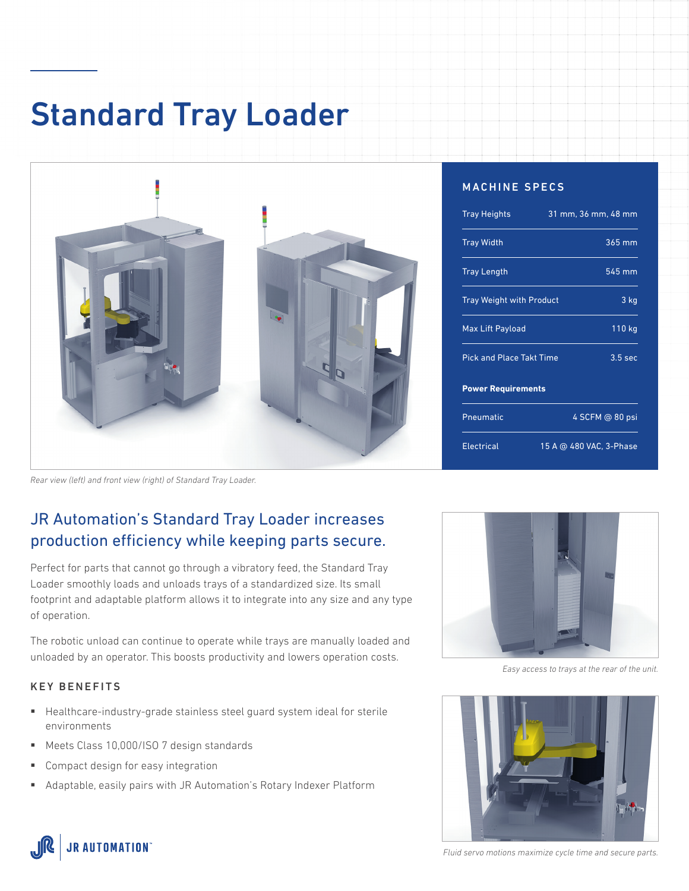# Standard Tray Loader



#### MACHINE SPECS

| <b>Tray Heights</b>             | 31 mm, 36 mm, 48 mm     |
|---------------------------------|-------------------------|
| <b>Tray Width</b>               | $365 \,\mathrm{mm}$     |
| <b>Tray Length</b>              | 545 mm                  |
| <b>Tray Weight with Product</b> | 3 kg                    |
| Max Lift Payload                | 110 kg                  |
| <b>Pick and Place Takt Time</b> | 3.5 <sub>sec</sub>      |
| <b>Power Requirements</b>       |                         |
| Pneumatic                       | 4 SCFM @ 80 psi         |
| <b>Electrical</b>               | 15 A @ 480 VAC, 3-Phase |

*Rear view (left) and front view (right) of Standard Tray Loader.*

### JR Automation's Standard Tray Loader increases production efficiency while keeping parts secure.

Perfect for parts that cannot go through a vibratory feed, the Standard Tray Loader smoothly loads and unloads trays of a standardized size. Its small footprint and adaptable platform allows it to integrate into any size and any type of operation.

The robotic unload can continue to operate while trays are manually loaded and unloaded by an operator. This boosts productivity and lowers operation costs.

#### KEY BENEFITS

- Healthcare-industry-grade stainless steel guard system ideal for sterile environments
- Meets Class 10,000/ISO 7 design standards
- Compact design for easy integration
- Adaptable, easily pairs with JR Automation's Rotary Indexer Platform



*Easy access to trays at the rear of the unit.*





*Fluid servo motions maximize cycle time and secure parts.*